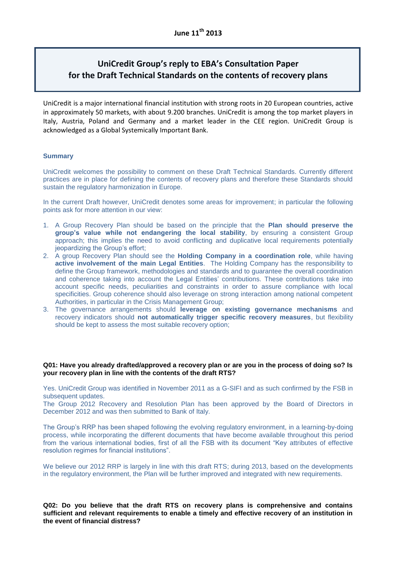# **UniCredit Group's reply to EBA's Consultation Paper for the Draft Technical Standards on the contents of recovery plans**

UniCredit is a major international financial institution with strong roots in 20 European countries, active in approximately 50 markets, with about 9.200 branches. UniCredit is among the top market players in Italy, Austria, Poland and Germany and a market leader in the CEE region. UniCredit Group is acknowledged as a Global Systemically Important Bank.

# **Summary**

UniCredit welcomes the possibility to comment on these Draft Technical Standards. Currently different practices are in place for defining the contents of recovery plans and therefore these Standards should sustain the regulatory harmonization in Europe.

In the current Draft however, UniCredit denotes some areas for improvement; in particular the following points ask for more attention in our view:

- 1. A Group Recovery Plan should be based on the principle that the **Plan should preserve the group's value while not endangering the local stability**, by ensuring a consistent Group approach; this implies the need to avoid conflicting and duplicative local requirements potentially jeopardizing the Group's effort;
- 2. A group Recovery Plan should see the **Holding Company in a coordination role**, while having **active involvement of the main Legal Entities**. The Holding Company has the responsibility to define the Group framework, methodologies and standards and to guarantee the overall coordination and coherence taking into account the Legal Entities' contributions. These contributions take into account specific needs, peculiarities and constraints in order to assure compliance with local specificities. Group coherence should also leverage on strong interaction among national competent Authorities, in particular in the Crisis Management Group;
- 3. The governance arrangements should **leverage on existing governance mechanisms** and recovery indicators should **not automatically trigger specific recovery measures**, but flexibility should be kept to assess the most suitable recovery option;

# **Q01: Have you already drafted/approved a recovery plan or are you in the process of doing so? Is your recovery plan in line with the contents of the draft RTS?**

Yes. UniCredit Group was identified in November 2011 as a G-SIFI and as such confirmed by the FSB in subsequent updates.

The Group 2012 Recovery and Resolution Plan has been approved by the Board of Directors in December 2012 and was then submitted to Bank of Italy.

The Group's RRP has been shaped following the evolving regulatory environment, in a learning-by-doing process, while incorporating the different documents that have become available throughout this period from the various international bodies, first of all the FSB with its document "Key attributes of effective resolution regimes for financial institutions".

We believe our 2012 RRP is largely in line with this draft RTS; during 2013, based on the developments in the regulatory environment, the Plan will be further improved and integrated with new requirements.

**Q02: Do you believe that the draft RTS on recovery plans is comprehensive and contains sufficient and relevant requirements to enable a timely and effective recovery of an institution in the event of financial distress?**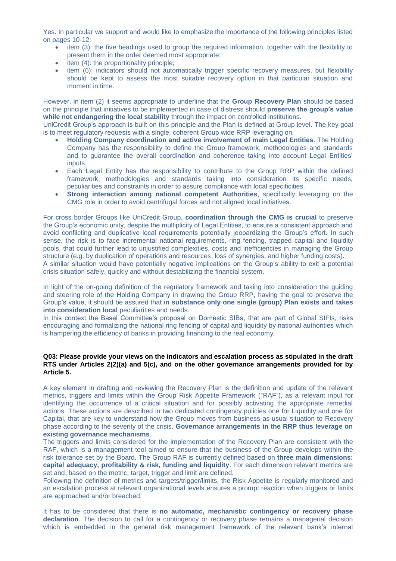Yes. In particular we support and would like to emphasize the importance of the following principles listed on pages 10-12:

- item (3): the five headings used to group the required information, together with the flexibility to present them in the order deemed most appropriate;
- $\bullet$  item (4): the proportionality principle;
- item (6): indicators should not automatically trigger specific recovery measures, but flexibility should be kept to assess the most suitable recovery option in that particular situation and moment in time.

However, in item (2) it seems appropriate to underline that the **Group Recovery Plan** should be based on the principle that initiatives to be implemented in case of distress should **preserve the group's value while not endangering the local stability** through the impact on controlled institutions.

UniCredit Group's approach is built on this principle and the Plan is defined at Group level. The key goal is to meet regulatory requests with a single, coherent Group wide RRP leveraging on:

- **Holding Company coordination and active involvement of main Legal Entities**. The Holding Company has the responsibility to define the Group framework, methodologies and standards and to guarantee the overall coordination and coherence taking into account Legal Entities' inputs.
- Each Legal Entity has the responsibility to contribute to the Group RRP within the defined framework, methodologies and standards taking into consideration its specific needs, peculiarities and constraints in order to assure compliance with local specificities.
- **Strong interaction among national competent Authorities**, specifically leveraging on the CMG role in order to avoid centrifugal forces and not aligned local initiatives.

For cross border Groups like UniCredit Group, **coordination through the CMG is crucial** to preserve the Group's economic unity, despite the multiplicity of Legal Entities, to ensure a consistent approach and avoid conflicting and duplicative local requirements potentially jeopardizing the Group's effort. In such sense, the risk is to face incremental national requirements, ring fencing, trapped capital and liquidity pools, that could further lead to unjustified complexities, costs and inefficiencies in managing the Group structure (e.g. by duplication of operations and resources, loss of synergies, and higher funding costs). A similar situation would have potentially negative implications on the Group's ability to exit a potential crisis situation safely, quickly and without destabilizing the financial system.

In light of the on-going definition of the regulatory framework and taking into consideration the guiding and steering role of the Holding Company in drawing the Group RRP, having the goal to preserve the Group's value, it should be assured that i**n substance only one single (group) Plan exists and takes into consideration local peculiarities and needs.** 

In this context the Basel Committee's proposal on Domestic SIBs, that are part of Global SIFIs, risks encouraging and formalizing the national ring fencing of capital and liquidity by national authorities which is hampering the efficiency of banks in providing financing to the real economy.

# **Q03: Please provide your views on the indicators and escalation process as stipulated in the draft RTS under Articles 2(2)(a) and 5(c), and on the other governance arrangements provided for by Article 5.**

A key element in drafting and reviewing the Recovery Plan is the definition and update of the relevant metrics, triggers and limits within the Group Risk Appetite Framework ("RAF"), as a relevant input for identifying the occurrence of a critical situation and for possibly activating the appropriate remedial actions. These actions are described in two dedicated contingency policies one for Liquidity and one for Capital, that are key to understand how the Group moves from business-as-usual situation to Recovery phase according to the severity of the crisis. **Governance arrangements in the RRP thus leverage on existing governance mechanisms**.

The triggers and limits considered for the implementation of the Recovery Plan are consistent with the RAF, which is a management tool aimed to ensure that the business of the Group develops within the risk tolerance set by the Board. The Group RAF is currently defined based on **three main dimensions: capital adequacy, profitability & risk, funding and liquidity**. For each dimension relevant metrics are set and, based on the metric, target, trigger and limit are defined.

Following the definition of metrics and targets/trigger/limits, the Risk Appetite is regularly monitored and an escalation process at relevant organizational levels ensures a prompt reaction when triggers or limits are approached and/or breached.

It has to be considered that there is **no automatic, mechanistic contingency or recovery phase declaration**. The decision to call for a contingency or recovery phase remains a managerial decision which is embedded in the general risk management framework of the relevant bank's internal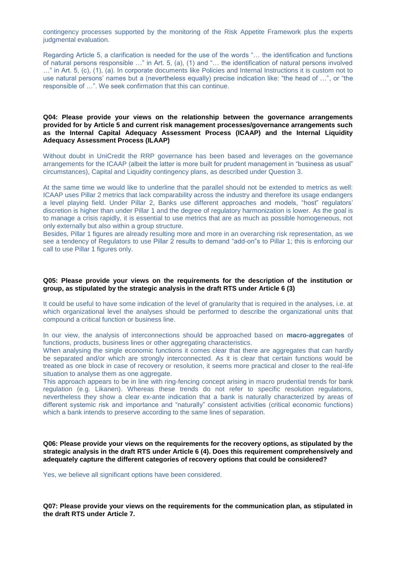contingency processes supported by the monitoring of the Risk Appetite Framework plus the experts judgmental evaluation.

Regarding Article 5, a clarification is needed for the use of the words "… the identification and functions of natural persons responsible …" in Art. 5, (a), (1) and "… the identification of natural persons involved …" in Art. 5, (c), (1), (a). In corporate documents like Policies and Internal Instructions it is custom not to use natural persons' names but a (nevertheless equally) precise indication like: "the head of …", or "the responsible of …". We seek confirmation that this can continue.

# **Q04: Please provide your views on the relationship between the governance arrangements provided for by Article 5 and current risk management processes/governance arrangements such as the Internal Capital Adequacy Assessment Process (ICAAP) and the Internal Liquidity Adequacy Assessment Process (ILAAP)**

Without doubt in UniCredit the RRP governance has been based and leverages on the governance arrangements for the ICAAP (albeit the latter is more built for prudent management in "business as usual" circumstances), Capital and Liquidity contingency plans, as described under Question 3.

At the same time we would like to underline that the parallel should not be extended to metrics as well: ICAAP uses Pillar 2 metrics that lack comparability across the industry and therefore its usage endangers a level playing field. Under Pillar 2, Banks use different approaches and models, "host" regulators' discretion is higher than under Pillar 1 and the degree of regulatory harmonization is lower. As the goal is to manage a crisis rapidly, it is essential to use metrics that are as much as possible homogeneous, not only externally but also within a group structure.

Besides, Pillar 1 figures are already resulting more and more in an overarching risk representation, as we see a tendency of Regulators to use Pillar 2 results to demand "add-on"s to Pillar 1; this is enforcing our call to use Pillar 1 figures only.

#### **Q05: Please provide your views on the requirements for the description of the institution or group, as stipulated by the strategic analysis in the draft RTS under Article 6 (3)**

It could be useful to have some indication of the level of granularity that is required in the analyses, i.e. at which organizational level the analyses should be performed to describe the organizational units that compound a critical function or business line.

In our view, the analysis of interconnections should be approached based on **macro-aggregates** of functions, products, business lines or other aggregating characteristics.

When analysing the single economic functions it comes clear that there are aggregates that can hardly be separated and/or which are strongly interconnected. As it is clear that certain functions would be treated as one block in case of recovery or resolution, it seems more practical and closer to the real-life situation to analyse them as one aggregate.

This approach appears to be in line with ring-fencing concept arising in macro prudential trends for bank regulation (e.g. Likanen). Whereas these trends do not refer to specific resolution regulations, nevertheless they show a clear ex-ante indication that a bank is naturally characterized by areas of different systemic risk and importance and "naturally" consistent activities (critical economic functions) which a bank intends to preserve according to the same lines of separation.

**Q06: Please provide your views on the requirements for the recovery options, as stipulated by the strategic analysis in the draft RTS under Article 6 (4). Does this requirement comprehensively and adequately capture the different categories of recovery options that could be considered?**

Yes, we believe all significant options have been considered.

**Q07: Please provide your views on the requirements for the communication plan, as stipulated in the draft RTS under Article 7.**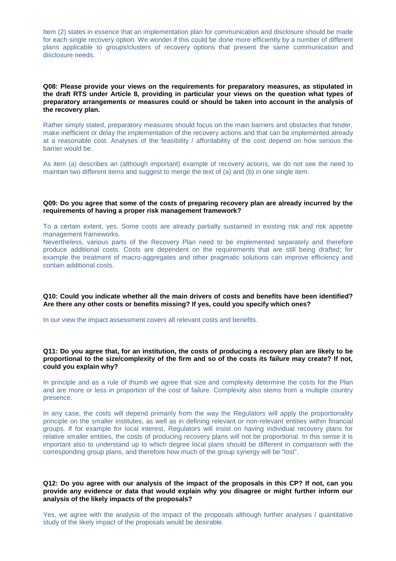Item (2) states in essence that an implementation plan for communication and disclosure should be made for each single recovery option. We wonder if this could be done more efficiently by a number of different plans applicable to groups/clusters of recovery options that present the same communication and disclosure needs.

#### **Q08: Please provide your views on the requirements for preparatory measures, as stipulated in the draft RTS under Article 8, providing in particular your views on the question what types of preparatory arrangements or measures could or should be taken into account in the analysis of the recovery plan.**

Rather simply stated, preparatory measures should focus on the main barriers and obstacles that hinder, make inefficient or delay the implementation of the recovery actions and that can be implemented already at a reasonable cost. Analyses of the feasibility / affordability of the cost depend on how serious the barrier would be.

As item (a) describes an (although important) example of recovery actions, we do not see the need to maintain two different items and suggest to merge the text of (a) and (b) in one single item.

#### **Q09: Do you agree that some of the costs of preparing recovery plan are already incurred by the requirements of having a proper risk management framework?**

To a certain extent, yes. Some costs are already partially sustained in existing risk and risk appetite management frameworks.

Nevertheless, various parts of the Recovery Plan need to be implemented separately and therefore produce additional costs. Costs are dependent on the requirements that are still being drafted; for example the treatment of macro-aggregates and other pragmatic solutions can improve efficiency and contain additional costs.

# **Q10: Could you indicate whether all the main drivers of costs and benefits have been identified? Are there any other costs or benefits missing? If yes, could you specify which ones?**

In our view the impact assessment covers all relevant costs and benefits.

# **Q11: Do you agree that, for an institution, the costs of producing a recovery plan are likely to be proportional to the size/complexity of the firm and so of the costs its failure may create? If not, could you explain why?**

In principle and as a rule of thumb we agree that size and complexity determine the costs for the Plan and are more or less in proportion of the cost of failure. Complexity also stems from a multiple country presence.

In any case, the costs will depend primarily from the way the Regulators will apply the proportionality principle on the smaller institutes, as well as in defining relevant or non-relevant entities within financial groups. If for example for local interest, Regulators will insist on having individual recovery plans for relative smaller entities, the costs of producing recovery plans will not be proportional. In this sense it is important also to understand up to which degree local plans should be different in comparison with the corresponding group plans, and therefore how much of the group synergy will be "lost".

# **Q12: Do you agree with our analysis of the impact of the proposals in this CP? If not, can you provide any evidence or data that would explain why you disagree or might further inform our analysis of the likely impacts of the proposals?**

Yes, we agree with the analysis of the impact of the proposals although further analyses / quantitative study of the likely impact of the proposals would be desirable.